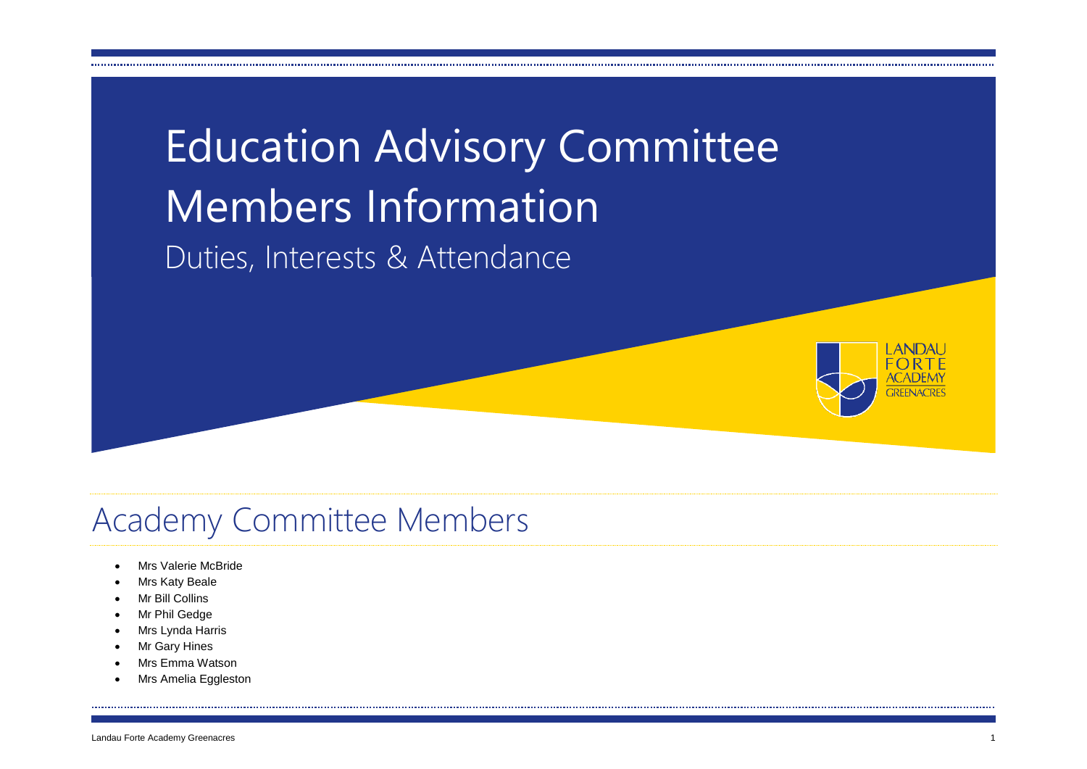



#### Academy Committee Members

- Mrs Valerie McBride
- Mrs Katy Beale
- Mr Bill Collins
- Mr Phil Gedge
- Mrs Lynda Harris
- Mr Gary Hines
- Mrs Emma Watson
- Mrs Amelia Eggleston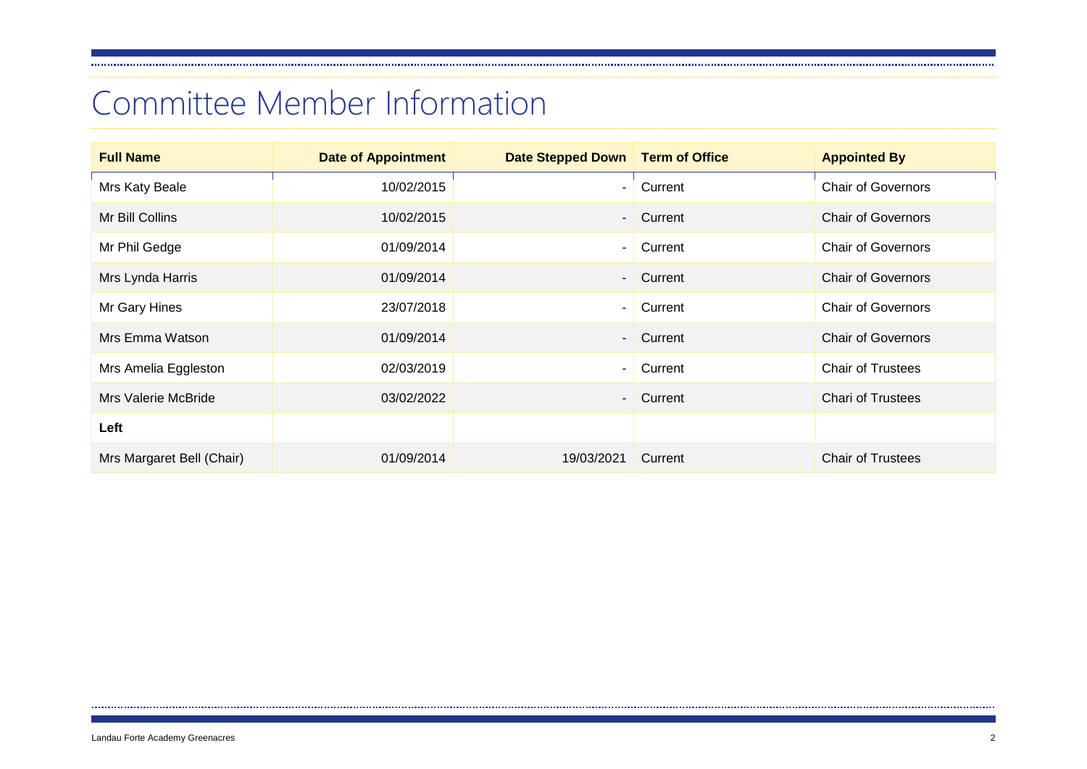### Committee Member Information

| <b>Full Name</b>          | <b>Date of Appointment</b> | Date Stepped Down   Term of Office |           | <b>Appointed By</b>       |
|---------------------------|----------------------------|------------------------------------|-----------|---------------------------|
| Mrs Katy Beale            | 10/02/2015                 |                                    | Current   | <b>Chair of Governors</b> |
| Mr Bill Collins           | 10/02/2015                 | $\overline{\phantom{0}}$           | Current   | <b>Chair of Governors</b> |
| Mr Phil Gedge             | 01/09/2014                 | Ξ.                                 | Current   | <b>Chair of Governors</b> |
| Mrs Lynda Harris          | 01/09/2014                 | $\overline{\phantom{0}}$           | Current   | <b>Chair of Governors</b> |
| Mr Gary Hines             | 23/07/2018                 |                                    | Current   | <b>Chair of Governors</b> |
| Mrs Emma Watson           | 01/09/2014                 |                                    | - Current | <b>Chair of Governors</b> |
| Mrs Amelia Eggleston      | 02/03/2019                 | ۰.                                 | Current   | <b>Chair of Trustees</b>  |
| Mrs Valerie McBride       | 03/02/2022                 | $\overline{\phantom{0}}$           | Current   | <b>Chari of Trustees</b>  |
| Left                      |                            |                                    |           |                           |
| Mrs Margaret Bell (Chair) | 01/09/2014                 | 19/03/2021                         | Current   | <b>Chair of Trustees</b>  |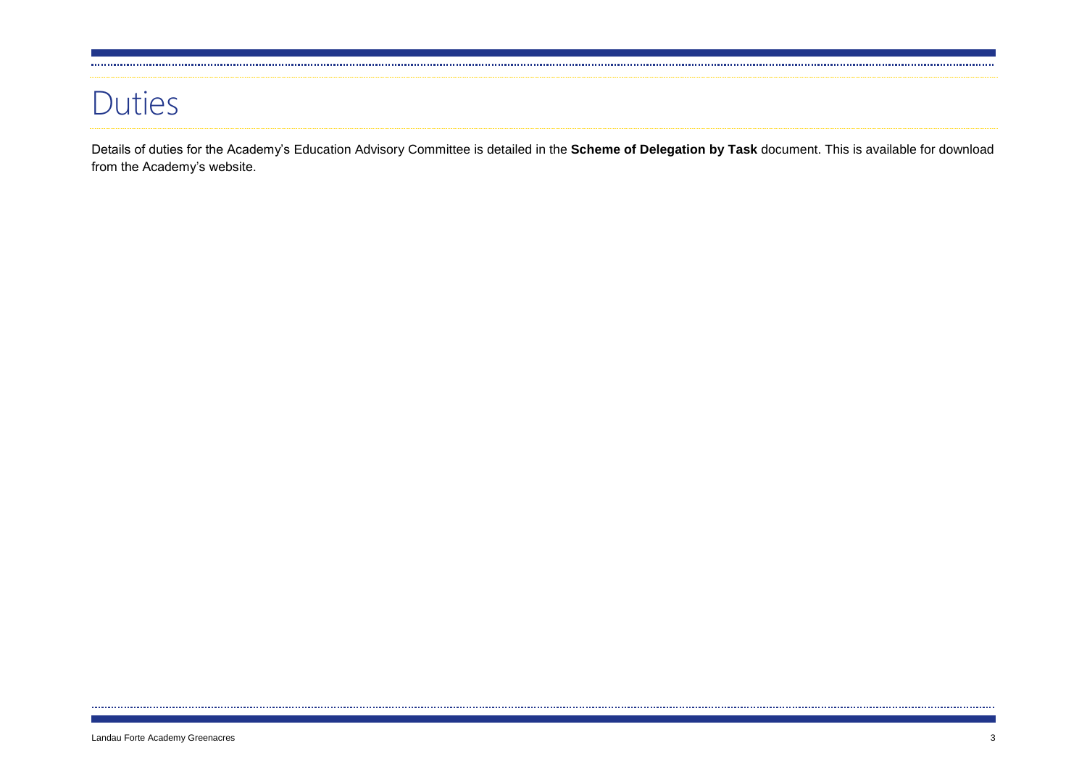#### Duties

Details of duties for the Academy's Education Advisory Committee is detailed in the **Scheme of Delegation by Task** document. This is available for download from the Academy's website.

......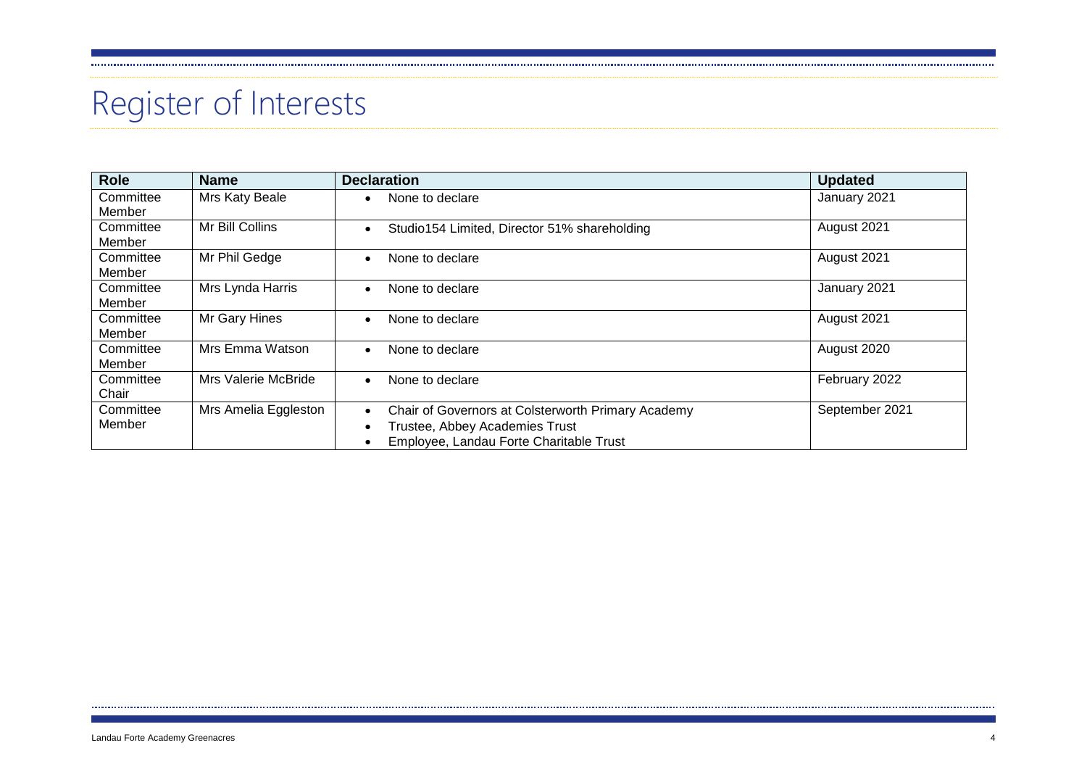# Register of Interests

| <b>Role</b> | <b>Name</b>          | <b>Declaration</b>                                              | <b>Updated</b> |
|-------------|----------------------|-----------------------------------------------------------------|----------------|
| Committee   | Mrs Katy Beale       | None to declare<br>$\bullet$                                    | January 2021   |
| Member      |                      |                                                                 |                |
| Committee   | Mr Bill Collins      | Studio154 Limited, Director 51% shareholding<br>$\bullet$       | August 2021    |
| Member      |                      |                                                                 |                |
| Committee   | Mr Phil Gedge        | None to declare<br>$\bullet$                                    | August 2021    |
| Member      |                      |                                                                 |                |
| Committee   | Mrs Lynda Harris     | None to declare                                                 | January 2021   |
| Member      |                      |                                                                 |                |
| Committee   | Mr Gary Hines        | None to declare<br>$\bullet$                                    | August 2021    |
| Member      |                      |                                                                 |                |
| Committee   | Mrs Emma Watson      | None to declare<br>$\bullet$                                    | August 2020    |
| Member      |                      |                                                                 |                |
| Committee   | Mrs Valerie McBride  | None to declare<br>$\bullet$                                    | February 2022  |
| Chair       |                      |                                                                 |                |
| Committee   | Mrs Amelia Eggleston | Chair of Governors at Colsterworth Primary Academy<br>$\bullet$ | September 2021 |
| Member      |                      | Trustee, Abbey Academies Trust<br>$\bullet$                     |                |
|             |                      | Employee, Landau Forte Charitable Trust<br>٠                    |                |